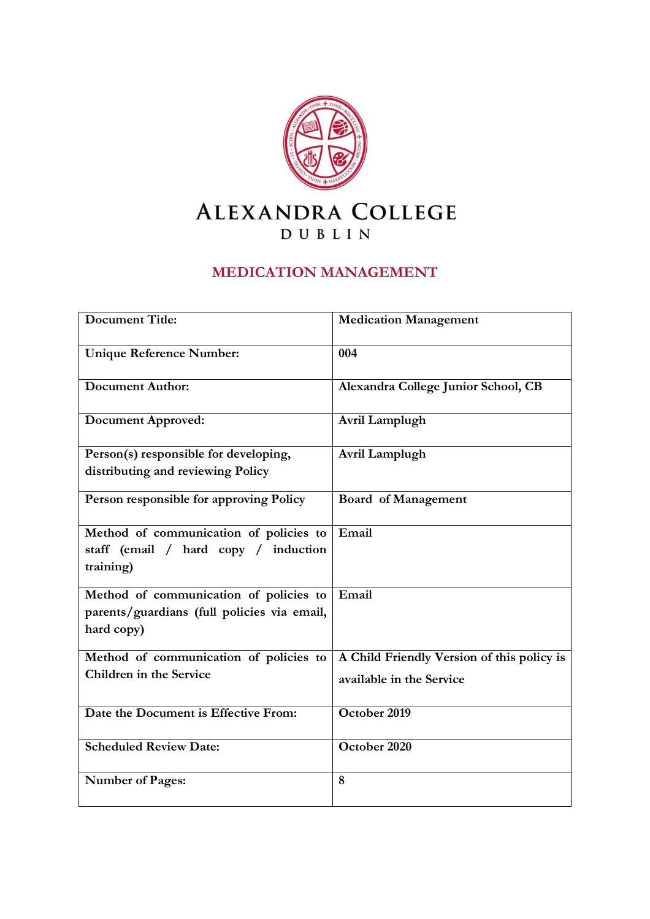

## **MEDICATION MANAGEMENT**

| <b>Document Title:</b>                      | <b>Medication Management</b>               |
|---------------------------------------------|--------------------------------------------|
| <b>Unique Reference Number:</b>             | 004                                        |
| <b>Document Author:</b>                     | Alexandra College Junior School, CB        |
| <b>Document Approved:</b>                   | Avril Lamplugh                             |
| Person(s) responsible for developing,       | Avril Lamplugh                             |
| distributing and reviewing Policy           |                                            |
| Person responsible for approving Policy     | <b>Board of Management</b>                 |
| Method of communication of policies to      | Email                                      |
| staff (email / hard copy / induction        |                                            |
| training)                                   |                                            |
| Method of communication of policies to      | Email                                      |
| parents/guardians (full policies via email, |                                            |
| hard copy)                                  |                                            |
| Method of communication of policies to      | A Child Friendly Version of this policy is |
| Children in the Service                     | available in the Service                   |
| Date the Document is Effective From:        | October 2019                               |
| <b>Scheduled Review Date:</b>               | October 2020                               |
| <b>Number of Pages:</b>                     | 8                                          |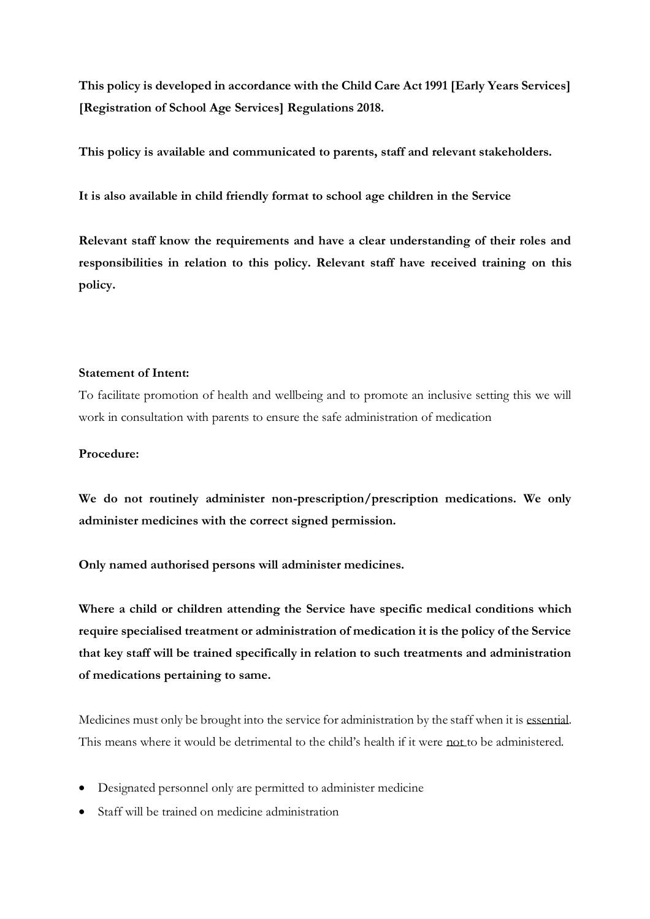**This policy is developed in accordance with the Child Care Act 1991 [Early Years Services] [Registration of School Age Services] Regulations 2018.**

**This policy is available and communicated to parents, staff and relevant stakeholders.**

**It is also available in child friendly format to school age children in the Service**

**Relevant staff know the requirements and have a clear understanding of their roles and responsibilities in relation to this policy. Relevant staff have received training on this policy.** 

#### **Statement of Intent:**

To facilitate promotion of health and wellbeing and to promote an inclusive setting this we will work in consultation with parents to ensure the safe administration of medication

#### **Procedure:**

**We do not routinely administer non-prescription/prescription medications. We only administer medicines with the correct signed permission.**

**Only named authorised persons will administer medicines.**

**Where a child or children attending the Service have specific medical conditions which require specialised treatment or administration of medication it is the policy of the Service that key staff will be trained specifically in relation to such treatments and administration of medications pertaining to same.** 

Medicines must only be brought into the service for administration by the staff when it is essential. This means where it would be detrimental to the child's health if it were not to be administered.

- Designated personnel only are permitted to administer medicine
- Staff will be trained on medicine administration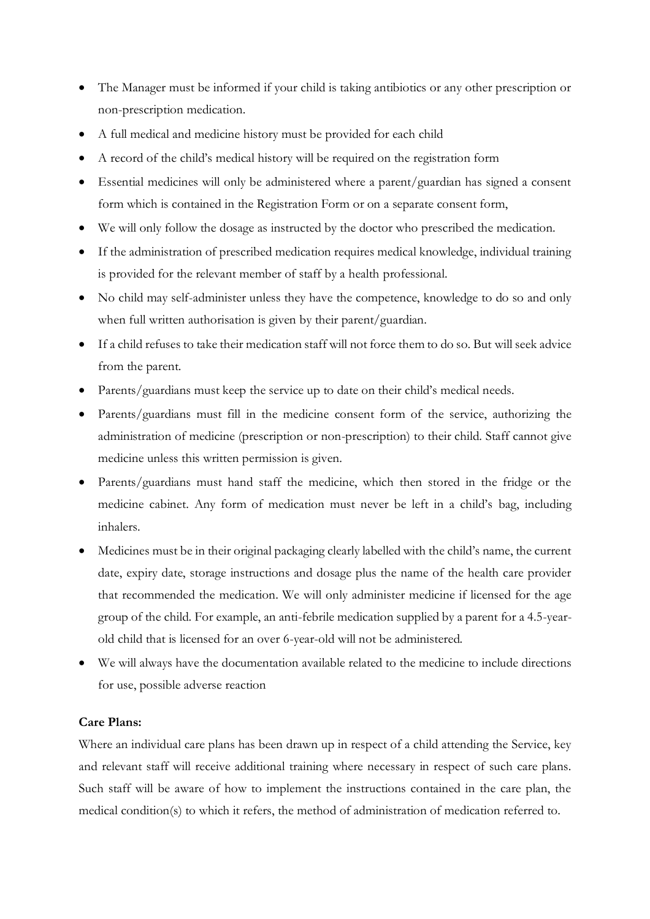- The Manager must be informed if your child is taking antibiotics or any other prescription or non-prescription medication.
- A full medical and medicine history must be provided for each child
- A record of the child's medical history will be required on the registration form
- Essential medicines will only be administered where a parent/guardian has signed a consent form which is contained in the Registration Form or on a separate consent form,
- We will only follow the dosage as instructed by the doctor who prescribed the medication.
- If the administration of prescribed medication requires medical knowledge, individual training is provided for the relevant member of staff by a health professional.
- No child may self-administer unless they have the competence, knowledge to do so and only when full written authorisation is given by their parent/guardian.
- If a child refuses to take their medication staff will not force them to do so. But will seek advice from the parent.
- Parents/guardians must keep the service up to date on their child's medical needs.
- Parents/guardians must fill in the medicine consent form of the service, authorizing the administration of medicine (prescription or non-prescription) to their child. Staff cannot give medicine unless this written permission is given.
- Parents/guardians must hand staff the medicine, which then stored in the fridge or the medicine cabinet. Any form of medication must never be left in a child's bag, including inhalers.
- Medicines must be in their original packaging clearly labelled with the child's name, the current date, expiry date, storage instructions and dosage plus the name of the health care provider that recommended the medication. We will only administer medicine if licensed for the age group of the child. For example, an anti-febrile medication supplied by a parent for a 4.5-yearold child that is licensed for an over 6-year-old will not be administered.
- We will always have the documentation available related to the medicine to include directions for use, possible adverse reaction

#### **Care Plans:**

Where an individual care plans has been drawn up in respect of a child attending the Service, key and relevant staff will receive additional training where necessary in respect of such care plans. Such staff will be aware of how to implement the instructions contained in the care plan, the medical condition(s) to which it refers, the method of administration of medication referred to.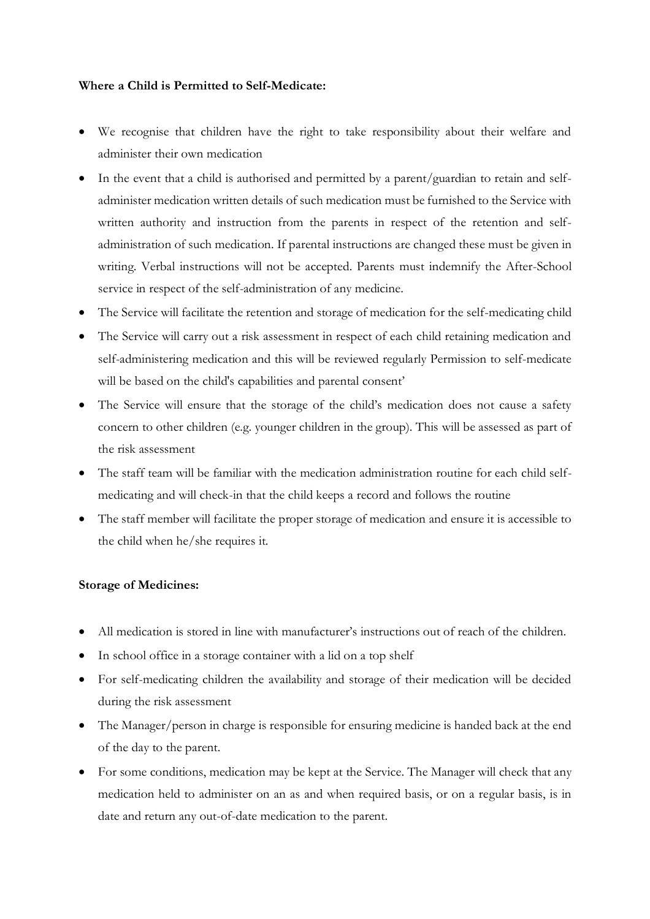#### **Where a Child is Permitted to Self-Medicate:**

- We recognise that children have the right to take responsibility about their welfare and administer their own medication
- In the event that a child is authorised and permitted by a parent/guardian to retain and selfadminister medication written details of such medication must be furnished to the Service with written authority and instruction from the parents in respect of the retention and selfadministration of such medication. If parental instructions are changed these must be given in writing. Verbal instructions will not be accepted. Parents must indemnify the After-School service in respect of the self-administration of any medicine.
- The Service will facilitate the retention and storage of medication for the self-medicating child
- The Service will carry out a risk assessment in respect of each child retaining medication and self-administering medication and this will be reviewed regularly Permission to self-medicate will be based on the child's capabilities and parental consent'
- The Service will ensure that the storage of the child's medication does not cause a safety concern to other children (e.g. younger children in the group). This will be assessed as part of the risk assessment
- The staff team will be familiar with the medication administration routine for each child selfmedicating and will check-in that the child keeps a record and follows the routine
- The staff member will facilitate the proper storage of medication and ensure it is accessible to the child when he/she requires it.

#### **Storage of Medicines:**

- All medication is stored in line with manufacturer's instructions out of reach of the children.
- In school office in a storage container with a lid on a top shelf
- For self-medicating children the availability and storage of their medication will be decided during the risk assessment
- The Manager/person in charge is responsible for ensuring medicine is handed back at the end of the day to the parent.
- For some conditions, medication may be kept at the Service. The Manager will check that any medication held to administer on an as and when required basis, or on a regular basis, is in date and return any out-of-date medication to the parent.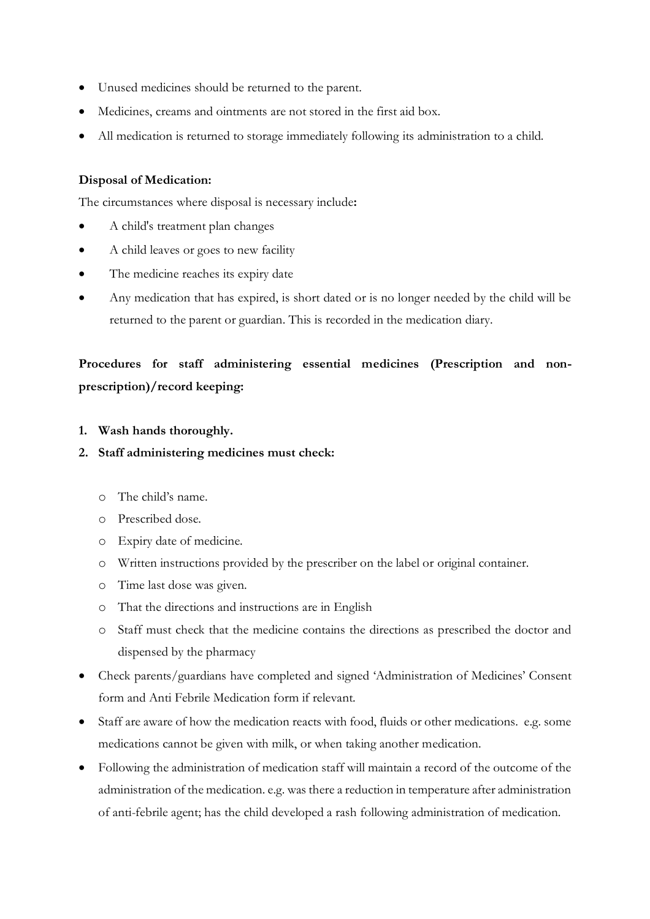- Unused medicines should be returned to the parent.
- Medicines, creams and ointments are not stored in the first aid box.
- All medication is returned to storage immediately following its administration to a child.

#### **Disposal of Medication:**

The circumstances where disposal is necessary include**:**

- A child's treatment plan changes
- A child leaves or goes to new facility
- The medicine reaches its expiry date
- Any medication that has expired, is short dated or is no longer needed by the child will be returned to the parent or guardian. This is recorded in the medication diary.

# Procedures for staff administering essential medicines (Prescription and non**prescription)/record keeping:**

**1. Wash hands thoroughly.**

#### **2. Staff administering medicines must check:**

- o The child's name.
- o Prescribed dose.
- o Expiry date of medicine.
- o Written instructions provided by the prescriber on the label or original container.
- o Time last dose was given.
- o That the directions and instructions are in English
- o Staff must check that the medicine contains the directions as prescribed the doctor and dispensed by the pharmacy
- Check parents/guardians have completed and signed 'Administration of Medicines' Consent form and Anti Febrile Medication form if relevant.
- Staff are aware of how the medication reacts with food, fluids or other medications. e.g. some medications cannot be given with milk, or when taking another medication.
- Following the administration of medication staff will maintain a record of the outcome of the administration of the medication. e.g. was there a reduction in temperature after administration of anti-febrile agent; has the child developed a rash following administration of medication.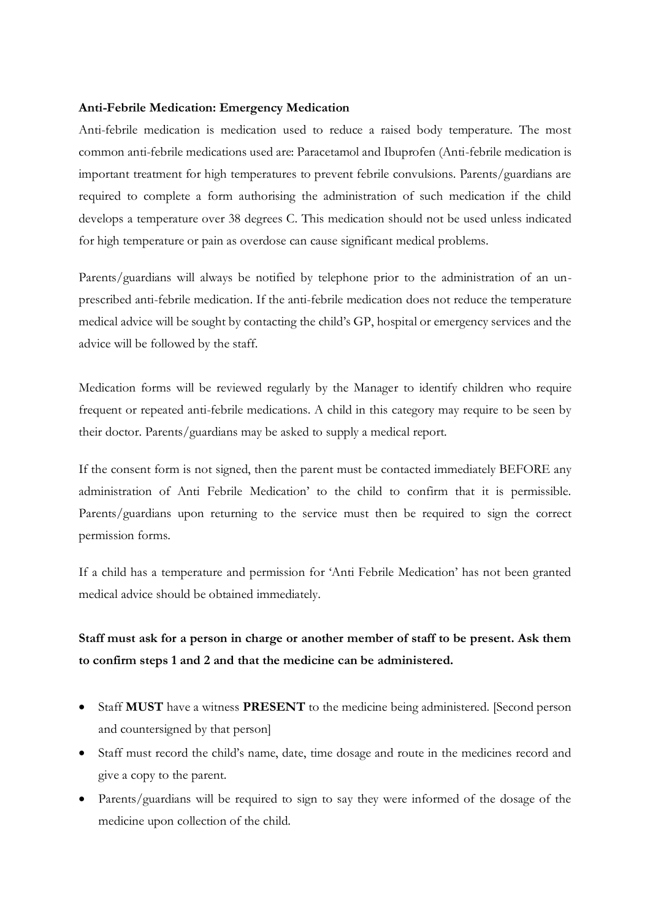#### **Anti-Febrile Medication: Emergency Medication**

Anti-febrile medication is medication used to reduce a raised body temperature. The most common anti-febrile medications used are: Paracetamol and Ibuprofen (Anti-febrile medication is important treatment for high temperatures to prevent febrile convulsions. Parents/guardians are required to complete a form authorising the administration of such medication if the child develops a temperature over 38 degrees C. This medication should not be used unless indicated for high temperature or pain as overdose can cause significant medical problems.

Parents/guardians will always be notified by telephone prior to the administration of an unprescribed anti-febrile medication. If the anti-febrile medication does not reduce the temperature medical advice will be sought by contacting the child's GP, hospital or emergency services and the advice will be followed by the staff.

Medication forms will be reviewed regularly by the Manager to identify children who require frequent or repeated anti-febrile medications. A child in this category may require to be seen by their doctor. Parents/guardians may be asked to supply a medical report.

If the consent form is not signed, then the parent must be contacted immediately BEFORE any administration of Anti Febrile Medication' to the child to confirm that it is permissible. Parents/guardians upon returning to the service must then be required to sign the correct permission forms.

If a child has a temperature and permission for 'Anti Febrile Medication' has not been granted medical advice should be obtained immediately.

## **Staff must ask for a person in charge or another member of staff to be present. Ask them to confirm steps 1 and 2 and that the medicine can be administered.**

- Staff **MUST** have a witness **PRESENT** to the medicine being administered. [Second person and countersigned by that person]
- Staff must record the child's name, date, time dosage and route in the medicines record and give a copy to the parent.
- Parents/guardians will be required to sign to say they were informed of the dosage of the medicine upon collection of the child.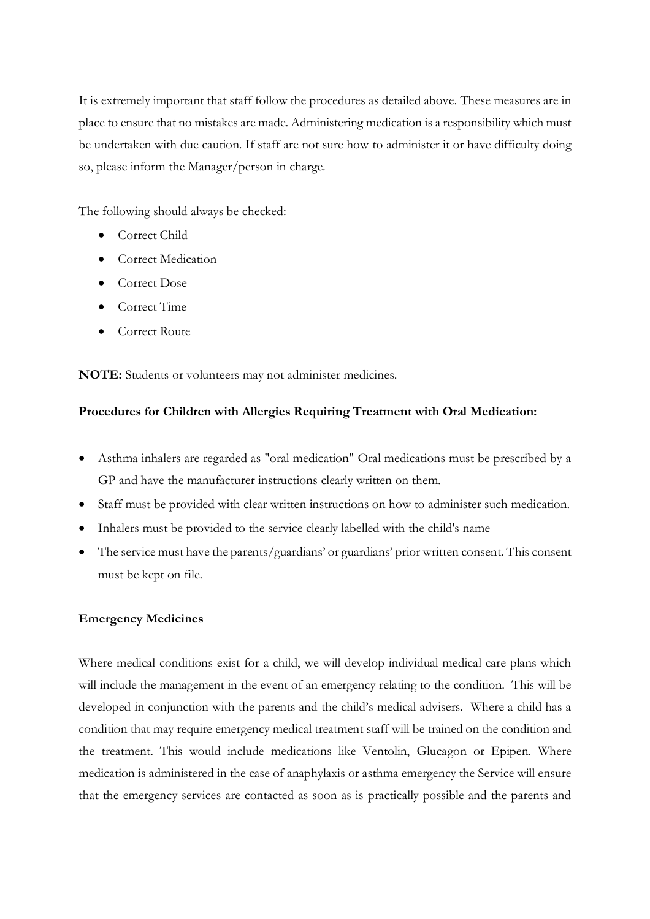It is extremely important that staff follow the procedures as detailed above. These measures are in place to ensure that no mistakes are made. Administering medication is a responsibility which must be undertaken with due caution. If staff are not sure how to administer it or have difficulty doing so, please inform the Manager/person in charge.

The following should always be checked:

- Correct Child
- Correct Medication
- Correct Dose
- Correct Time
- Correct Route

**NOTE:** Students or volunteers may not administer medicines.

#### **Procedures for Children with Allergies Requiring Treatment with Oral Medication:**

- Asthma inhalers are regarded as "oral medication" Oral medications must be prescribed by a GP and have the manufacturer instructions clearly written on them.
- Staff must be provided with clear written instructions on how to administer such medication.
- Inhalers must be provided to the service clearly labelled with the child's name
- The service must have the parents/guardians' or guardians' prior written consent. This consent must be kept on file.

#### **Emergency Medicines**

Where medical conditions exist for a child, we will develop individual medical care plans which will include the management in the event of an emergency relating to the condition. This will be developed in conjunction with the parents and the child's medical advisers. Where a child has a condition that may require emergency medical treatment staff will be trained on the condition and the treatment. This would include medications like Ventolin, Glucagon or Epipen. Where medication is administered in the case of anaphylaxis or asthma emergency the Service will ensure that the emergency services are contacted as soon as is practically possible and the parents and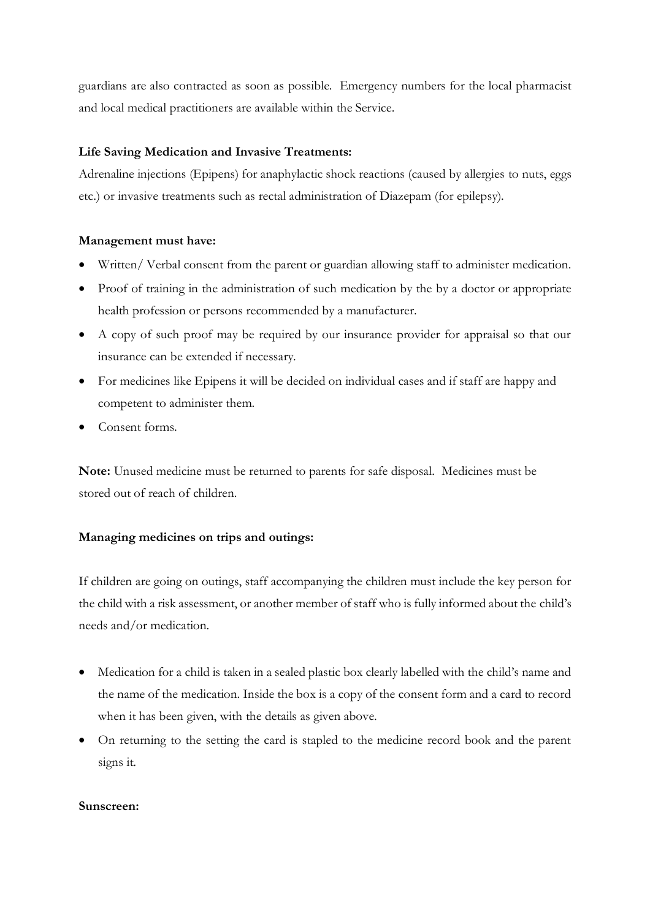guardians are also contracted as soon as possible. Emergency numbers for the local pharmacist and local medical practitioners are available within the Service.

### **Life Saving Medication and Invasive Treatments:**

Adrenaline injections (Epipens) for anaphylactic shock reactions (caused by allergies to nuts, eggs etc.) or invasive treatments such as rectal administration of Diazepam (for epilepsy).

### **Management must have:**

- Written/ Verbal consent from the parent or guardian allowing staff to administer medication.
- Proof of training in the administration of such medication by the by a doctor or appropriate health profession or persons recommended by a manufacturer.
- A copy of such proof may be required by our insurance provider for appraisal so that our insurance can be extended if necessary.
- For medicines like Epipens it will be decided on individual cases and if staff are happy and competent to administer them.
- Consent forms.

**Note:** Unused medicine must be returned to parents for safe disposal. Medicines must be stored out of reach of children.

### **Managing medicines on trips and outings:**

If children are going on outings, staff accompanying the children must include the key person for the child with a risk assessment, or another member of staff who is fully informed about the child's needs and/or medication.

- Medication for a child is taken in a sealed plastic box clearly labelled with the child's name and the name of the medication. Inside the box is a copy of the consent form and a card to record when it has been given, with the details as given above.
- On returning to the setting the card is stapled to the medicine record book and the parent signs it.

#### **Sunscreen:**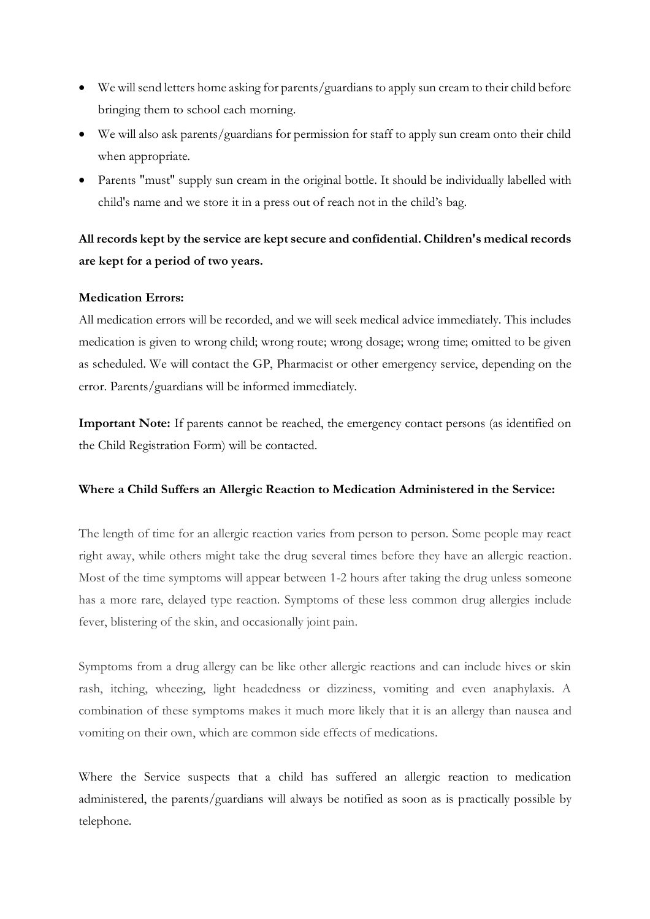- We will send letters home asking for parents/guardians to apply sun cream to their child before bringing them to school each morning.
- We will also ask parents/guardians for permission for staff to apply sun cream onto their child when appropriate.
- Parents "must" supply sun cream in the original bottle. It should be individually labelled with child's name and we store it in a press out of reach not in the child's bag.

## **All records kept by the service are kept secure and confidential. Children's medical records are kept for a period of two years.**

### **Medication Errors:**

All medication errors will be recorded, and we will seek medical advice immediately. This includes medication is given to wrong child; wrong route; wrong dosage; wrong time; omitted to be given as scheduled. We will contact the GP, Pharmacist or other emergency service, depending on the error. Parents/guardians will be informed immediately.

**Important Note:** If parents cannot be reached, the emergency contact persons (as identified on the Child Registration Form) will be contacted.

#### **Where a Child Suffers an Allergic Reaction to Medication Administered in the Service:**

The length of time for an allergic reaction varies from person to person. Some people may react right away, while others might take the drug several times before they have an allergic reaction. Most of the time symptoms will appear between 1-2 hours after taking the drug unless someone has a more rare, delayed type reaction. Symptoms of these less common drug allergies include fever, blistering of the skin, and occasionally joint pain.

Symptoms from a drug allergy can be like other allergic reactions and can include hives or skin rash, itching, wheezing, light headedness or dizziness, vomiting and even anaphylaxis. A combination of these symptoms makes it much more likely that it is an allergy than nausea and vomiting on their own, which are common side effects of medications.

Where the Service suspects that a child has suffered an allergic reaction to medication administered, the parents/guardians will always be notified as soon as is practically possible by telephone.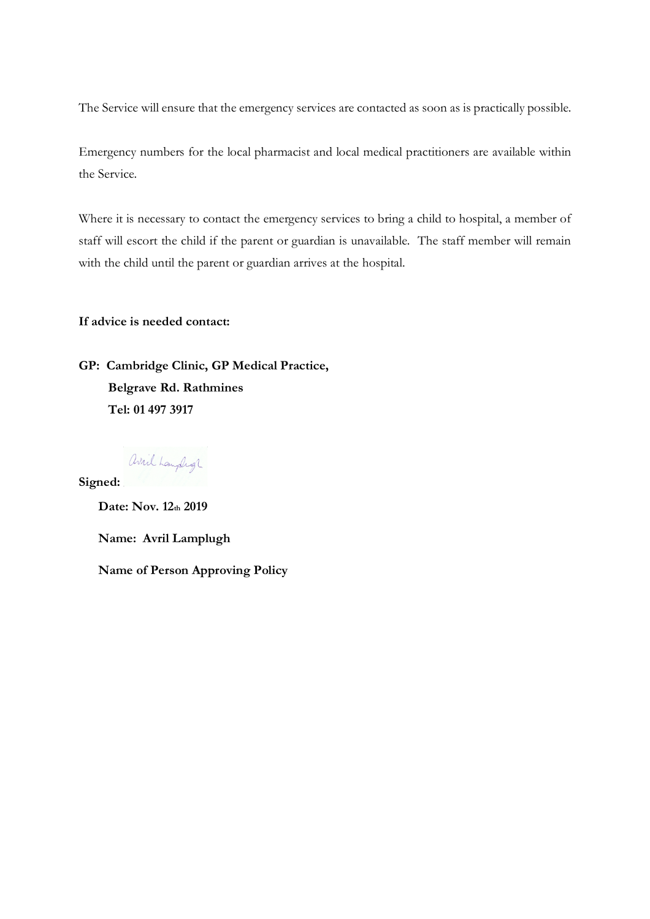The Service will ensure that the emergency services are contacted as soon as is practically possible.

Emergency numbers for the local pharmacist and local medical practitioners are available within the Service.

Where it is necessary to contact the emergency services to bring a child to hospital, a member of staff will escort the child if the parent or guardian is unavailable. The staff member will remain with the child until the parent or guardian arrives at the hospital.

**If advice is needed contact:**

**GP: Cambridge Clinic, GP Medical Practice, Belgrave Rd. Rathmines Tel: 01 497 3917**

avril Laupligh **Signed:** 

**Date: Nov. 12th 2019 Name: Avril Lamplugh Name of Person Approving Policy**